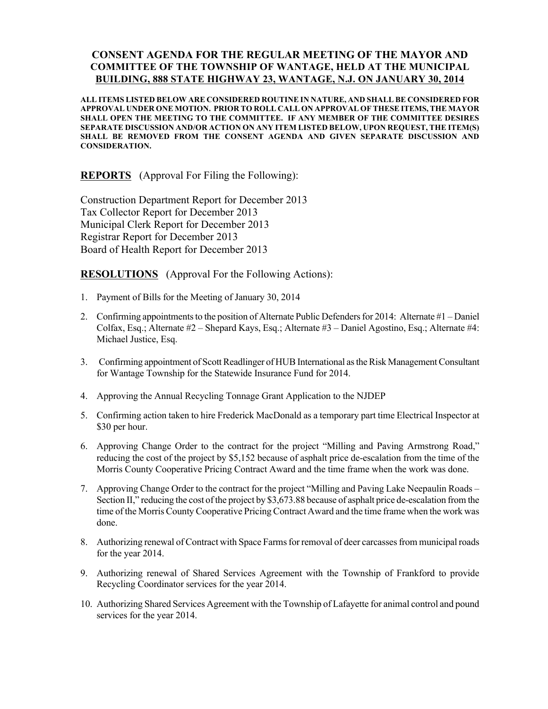## CONSENT AGENDA FOR THE REGULAR MEETING OF THE MAYOR AND COMMITTEE OF THE TOWNSHIP OF WANTAGE, HELD AT THE MUNICIPAL BUILDING, 888 STATE HIGHWAY 23, WANTAGE, N.J. ON JANUARY 30, 2014

ALL ITEMS LISTED BELOW ARE CONSIDERED ROUTINE IN NATURE, AND SHALL BE CONSIDERED FOR APPROVAL UNDER ONE MOTION. PRIOR TO ROLL CALL ON APPROVAL OF THESE ITEMS, THE MAYOR SHALL OPEN THE MEETING TO THE COMMITTEE. IF ANY MEMBER OF THE COMMITTEE DESIRES SEPARATE DISCUSSION AND/OR ACTION ON ANY ITEM LISTED BELOW, UPON REQUEST, THE ITEM(S) SHALL BE REMOVED FROM THE CONSENT AGENDA AND GIVEN SEPARATE DISCUSSION AND CONSIDERATION.

REPORTS (Approval For Filing the Following):

Construction Department Report for December 2013 Tax Collector Report for December 2013 Municipal Clerk Report for December 2013 Registrar Report for December 2013 Board of Health Report for December 2013

RESOLUTIONS (Approval For the Following Actions):

- 1. Payment of Bills for the Meeting of January 30, 2014
- 2. Confirming appointments to the position of Alternate Public Defenders for 2014: Alternate #1 Daniel Colfax, Esq.; Alternate #2 – Shepard Kays, Esq.; Alternate #3 – Daniel Agostino, Esq.; Alternate #4: Michael Justice, Esq.
- 3. Confirming appointment of Scott Readlinger of HUB International as the Risk Management Consultant for Wantage Township for the Statewide Insurance Fund for 2014.
- 4. Approving the Annual Recycling Tonnage Grant Application to the NJDEP
- 5. Confirming action taken to hire Frederick MacDonald as a temporary part time Electrical Inspector at \$30 per hour.
- 6. Approving Change Order to the contract for the project "Milling and Paving Armstrong Road," reducing the cost of the project by \$5,152 because of asphalt price de-escalation from the time of the Morris County Cooperative Pricing Contract Award and the time frame when the work was done.
- 7. Approving Change Order to the contract for the project "Milling and Paving Lake Neepaulin Roads Section II," reducing the cost of the project by \$3,673.88 because of asphalt price de-escalation from the time of the Morris County Cooperative Pricing Contract Award and the time frame when the work was done.
- 8. Authorizing renewal of Contract with Space Farms for removal of deer carcasses from municipal roads for the year 2014.
- 9. Authorizing renewal of Shared Services Agreement with the Township of Frankford to provide Recycling Coordinator services for the year 2014.
- 10. Authorizing Shared Services Agreement with the Township of Lafayette for animal control and pound services for the year 2014.